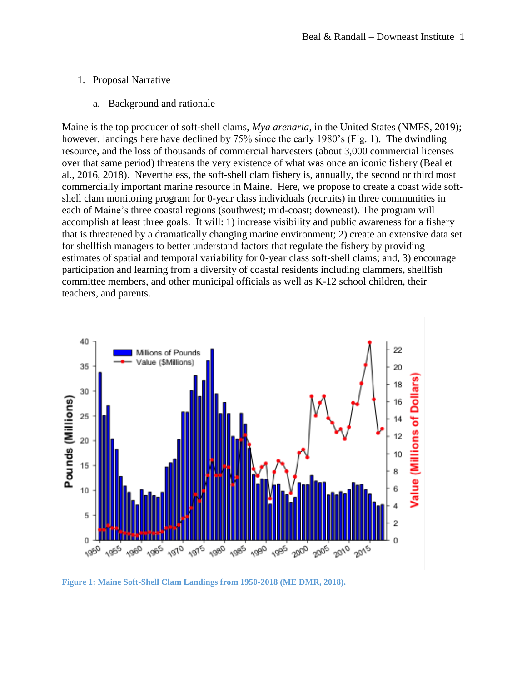## 1. Proposal Narrative

a. Background and rationale

Maine is the top producer of soft-shell clams, *Mya arenaria*, in the United States (NMFS, 2019); however, landings here have declined by 75% since the early 1980's (Fig. 1). The dwindling resource, and the loss of thousands of commercial harvesters (about 3,000 commercial licenses over that same period) threatens the very existence of what was once an iconic fishery (Beal et al., 2016, 2018). Nevertheless, the soft-shell clam fishery is, annually, the second or third most commercially important marine resource in Maine. Here, we propose to create a coast wide softshell clam monitoring program for 0-year class individuals (recruits) in three communities in each of Maine's three coastal regions (southwest; mid-coast; downeast). The program will accomplish at least three goals. It will: 1) increase visibility and public awareness for a fishery that is threatened by a dramatically changing marine environment; 2) create an extensive data set for shellfish managers to better understand factors that regulate the fishery by providing estimates of spatial and temporal variability for 0-year class soft-shell clams; and, 3) encourage participation and learning from a diversity of coastal residents including clammers, shellfish committee members, and other municipal officials as well as K-12 school children, their teachers, and parents.



**Figure 1: Maine Soft-Shell Clam Landings from 1950-2018 (ME DMR, 2018).**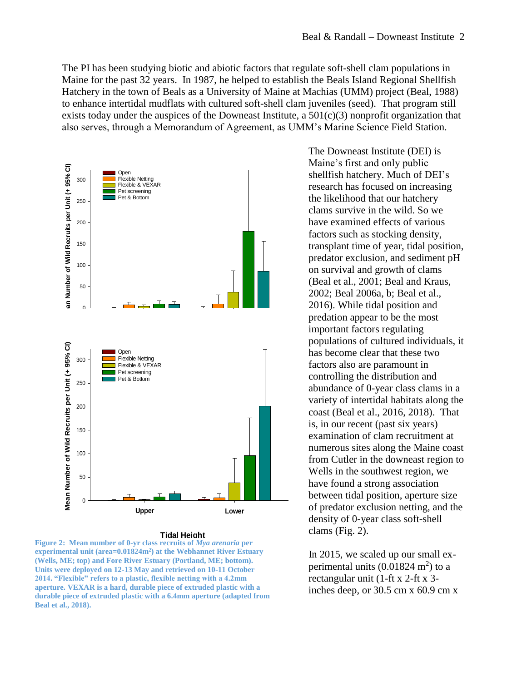The PI has been studying biotic and abiotic factors that regulate soft-shell clam populations in Maine for the past 32 years. In 1987, he helped to establish the Beals Island Regional Shellfish Hatchery in the town of Beals as a University of Maine at Machias (UMM) project (Beal, 1988) to enhance intertidal mudflats with cultured soft-shell clam juveniles (seed). That program still exists today under the auspices of the Downeast Institute, a  $501(c)(3)$  nonprofit organization that also serves, through a Memorandum of Agreement, as UMM's Marine Science Field Station.



## **Tidal Height**

**Figure 2: Mean number of 0-yr class recruits of** *Mya arenaria* **per experimental unit (area=0.01824m<sup>2</sup> ) at the Webhannet River Estuary (Wells, ME; top) and Fore River Estuary (Portland, ME; bottom). Units were deployed on 12-13 May and retrieved on 10-11 October 2014. "Flexible" refers to a plastic, flexible netting with a 4.2mm aperture. VEXAR is a hard, durable piece of extruded plastic with a durable piece of extruded plastic with a 6.4mm aperture (adapted from Beal et al., 2018).** 

The Downeast Institute (DEI) is Maine's first and only public shellfish hatchery. Much of DEI's research has focused on increasing the likelihood that our hatchery clams survive in the wild. So we have examined effects of various factors such as stocking density, transplant time of year, tidal position, predator exclusion, and sediment pH on survival and growth of clams (Beal et al., 2001; Beal and Kraus, 2002; Beal 2006a, b; Beal et al., 2016). While tidal position and predation appear to be the most important factors regulating populations of cultured individuals, it has become clear that these two factors also are paramount in controlling the distribution and abundance of 0-year class clams in a variety of intertidal habitats along the coast (Beal et al., 2016, 2018). That is, in our recent (past six years) examination of clam recruitment at numerous sites along the Maine coast from Cutler in the downeast region to Wells in the southwest region, we have found a strong association between tidal position, aperture size of predator exclusion netting, and the density of 0-year class soft-shell clams (Fig. 2).

 In 2015, we scaled up our small ex perimental units  $(0.01824 \text{ m}^2)$  to a rectangular unit (1-ft x 2-ft x 3 inches deep, or 30.5 cm x 60.9 cm x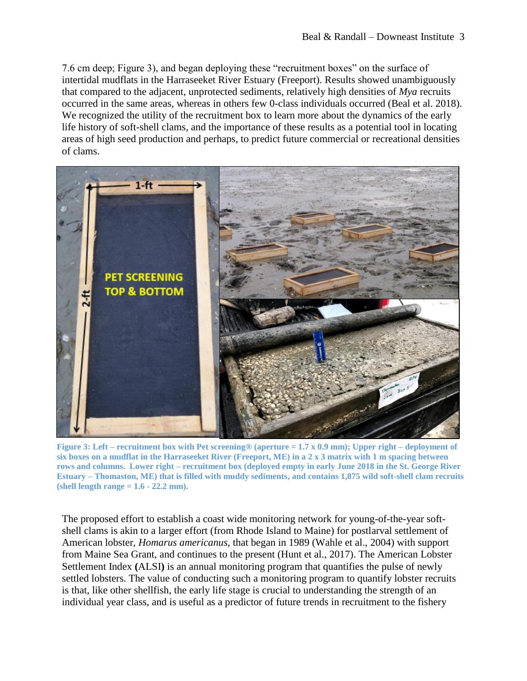7.6 cm deep; Figure 3), and began deploying these "recruitment boxes" on the surface of intertidal mudflats in the Harraseeket River Estuary (Freeport). Results showed unambiguously that compared to the adjacent, unprotected sediments, relatively high densities of *Mya* recruits occurred in the same areas, whereas in others few 0-class individuals occurred (Beal et al. 2018). We recognized the utility of the recruitment box to learn more about the dynamics of the early life history of soft-shell clams, and the importance of these results as a potential tool in locating areas of high seed production and perhaps, to predict future commercial or recreational densities of clams.



**Figure 3: Left – recruitment box with Pet screening® (aperture = 1.7 x 0.9 mm); Upper right – deployment of six boxes on a mudflat in the Harraseeket River (Freeport, ME) in a 2 x 3 matrix with 1 m spacing between rows and columns. Lower right – recruitment box (deployed empty in early June 2018 in the St. George River Estuary – Thomaston, ME) that is filled with muddy sediments, and contains 1,875 wild soft-shell clam recruits (shell length range = 1.6 - 22.2 mm).**

The proposed effort to establish a coast wide monitoring network for young-of-the-year softshell clams is akin to a larger effort (from Rhode Island to Maine) for postlarval settlement of American lobster, *Homarus americanus*, that began in 1989 (Wahle et al., 2004) with support from Maine Sea Grant, and continues to the present (Hunt et al., 2017). The American Lobster Settlement Index **(**ALSI**)** is an annual monitoring program that quantifies the pulse of newly settled lobsters. The value of conducting such a monitoring program to quantify lobster recruits is that, like other shellfish, the early life stage is crucial to understanding the strength of an individual year class, and is useful as a predictor of future trends in recruitment to the fishery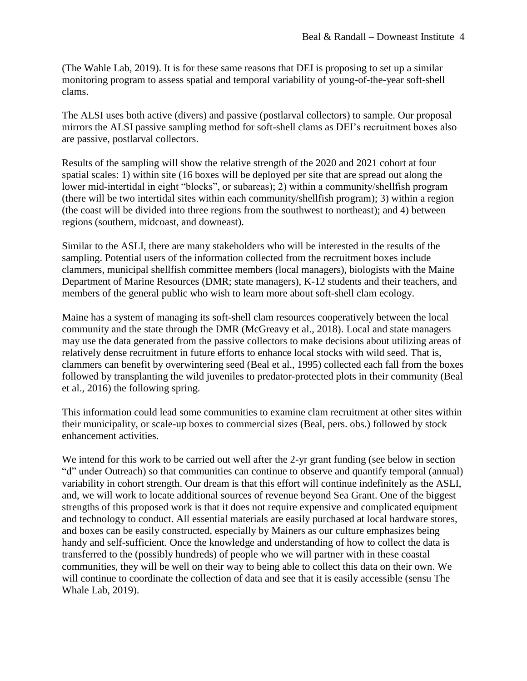(The Wahle Lab, 2019). It is for these same reasons that DEI is proposing to set up a similar monitoring program to assess spatial and temporal variability of young-of-the-year soft-shell clams.

The ALSI uses both active (divers) and passive (postlarval collectors) to sample. Our proposal mirrors the ALSI passive sampling method for soft-shell clams as DEI's recruitment boxes also are passive, postlarval collectors.

Results of the sampling will show the relative strength of the 2020 and 2021 cohort at four spatial scales: 1) within site (16 boxes will be deployed per site that are spread out along the lower mid-intertidal in eight "blocks", or subareas); 2) within a community/shellfish program (there will be two intertidal sites within each community/shellfish program); 3) within a region (the coast will be divided into three regions from the southwest to northeast); and 4) between regions (southern, midcoast, and downeast).

Similar to the ASLI, there are many stakeholders who will be interested in the results of the sampling. Potential users of the information collected from the recruitment boxes include clammers, municipal shellfish committee members (local managers), biologists with the Maine Department of Marine Resources (DMR; state managers), K-12 students and their teachers, and members of the general public who wish to learn more about soft-shell clam ecology.

Maine has a system of managing its soft-shell clam resources cooperatively between the local community and the state through the DMR (McGreavy et al., 2018). Local and state managers may use the data generated from the passive collectors to make decisions about utilizing areas of relatively dense recruitment in future efforts to enhance local stocks with wild seed. That is, clammers can benefit by overwintering seed (Beal et al., 1995) collected each fall from the boxes followed by transplanting the wild juveniles to predator-protected plots in their community (Beal et al., 2016) the following spring.

This information could lead some communities to examine clam recruitment at other sites within their municipality, or scale-up boxes to commercial sizes (Beal, pers. obs.) followed by stock enhancement activities.

We intend for this work to be carried out well after the 2-yr grant funding (see below in section "d" under Outreach) so that communities can continue to observe and quantify temporal (annual) variability in cohort strength. Our dream is that this effort will continue indefinitely as the ASLI, and, we will work to locate additional sources of revenue beyond Sea Grant. One of the biggest strengths of this proposed work is that it does not require expensive and complicated equipment and technology to conduct. All essential materials are easily purchased at local hardware stores, and boxes can be easily constructed, especially by Mainers as our culture emphasizes being handy and self-sufficient. Once the knowledge and understanding of how to collect the data is transferred to the (possibly hundreds) of people who we will partner with in these coastal communities, they will be well on their way to being able to collect this data on their own. We will continue to coordinate the collection of data and see that it is easily accessible (sensu The Whale Lab, 2019).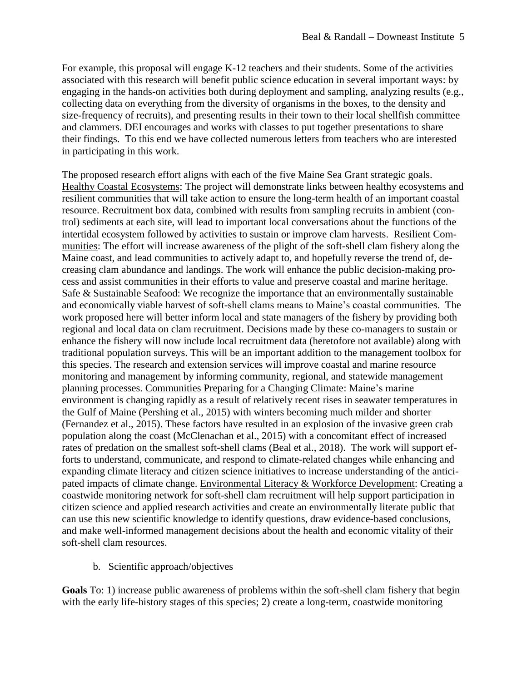For example, this proposal will engage K-12 teachers and their students. Some of the activities associated with this research will benefit public science education in several important ways: by engaging in the hands-on activities both during deployment and sampling, analyzing results (e.g., collecting data on everything from the diversity of organisms in the boxes, to the density and size-frequency of recruits), and presenting results in their town to their local shellfish committee and clammers. DEI encourages and works with classes to put together presentations to share their findings. To this end we have collected numerous letters from teachers who are interested in participating in this work.

The proposed research effort aligns with each of the five Maine Sea Grant strategic goals. Healthy Coastal Ecosystems: The project will demonstrate links between healthy ecosystems and resilient communities that will take action to ensure the long-term health of an important coastal resource. Recruitment box data, combined with results from sampling recruits in ambient (control) sediments at each site, will lead to important local conversations about the functions of the intertidal ecosystem followed by activities to sustain or improve clam harvests. Resilient Communities: The effort will increase awareness of the plight of the soft-shell clam fishery along the Maine coast, and lead communities to actively adapt to, and hopefully reverse the trend of, decreasing clam abundance and landings. The work will enhance the public decision-making process and assist communities in their efforts to value and preserve coastal and marine heritage. Safe & Sustainable Seafood: We recognize the importance that an environmentally sustainable and economically viable harvest of soft-shell clams means to Maine's coastal communities. The work proposed here will better inform local and state managers of the fishery by providing both regional and local data on clam recruitment. Decisions made by these co-managers to sustain or enhance the fishery will now include local recruitment data (heretofore not available) along with traditional population surveys. This will be an important addition to the management toolbox for this species. The research and extension services will improve coastal and marine resource monitoring and management by informing community, regional, and statewide management planning processes. Communities Preparing for a Changing Climate: Maine's marine environment is changing rapidly as a result of relatively recent rises in seawater temperatures in the Gulf of Maine (Pershing et al., 2015) with winters becoming much milder and shorter (Fernandez et al., 2015). These factors have resulted in an explosion of the invasive green crab population along the coast (McClenachan et al., 2015) with a concomitant effect of increased rates of predation on the smallest soft-shell clams (Beal et al., 2018). The work will support efforts to understand, communicate, and respond to climate-related changes while enhancing and expanding climate literacy and citizen science initiatives to increase understanding of the anticipated impacts of climate change. Environmental Literacy & Workforce Development: Creating a coastwide monitoring network for soft-shell clam recruitment will help support participation in citizen science and applied research activities and create an environmentally literate public that can use this new scientific knowledge to identify questions, draw evidence-based conclusions, and make well-informed management decisions about the health and economic vitality of their soft-shell clam resources.

b. Scientific approach/objectives

**Goals** To: 1) increase public awareness of problems within the soft-shell clam fishery that begin with the early life-history stages of this species; 2) create a long-term, coastwide monitoring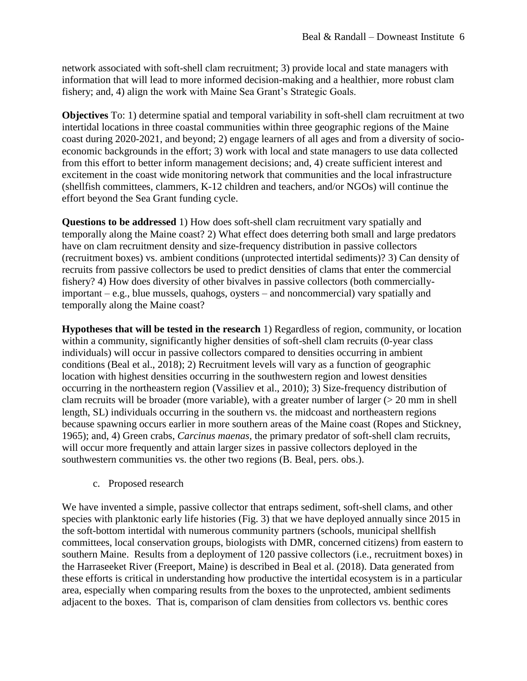network associated with soft-shell clam recruitment; 3) provide local and state managers with information that will lead to more informed decision-making and a healthier, more robust clam fishery; and, 4) align the work with Maine Sea Grant's Strategic Goals.

**Objectives** To: 1) determine spatial and temporal variability in soft-shell clam recruitment at two intertidal locations in three coastal communities within three geographic regions of the Maine coast during 2020-2021, and beyond; 2) engage learners of all ages and from a diversity of socioeconomic backgrounds in the effort; 3) work with local and state managers to use data collected from this effort to better inform management decisions; and, 4) create sufficient interest and excitement in the coast wide monitoring network that communities and the local infrastructure (shellfish committees, clammers, K-12 children and teachers, and/or NGOs) will continue the effort beyond the Sea Grant funding cycle.

**Questions to be addressed** 1) How does soft-shell clam recruitment vary spatially and temporally along the Maine coast? 2) What effect does deterring both small and large predators have on clam recruitment density and size-frequency distribution in passive collectors (recruitment boxes) vs. ambient conditions (unprotected intertidal sediments)? 3) Can density of recruits from passive collectors be used to predict densities of clams that enter the commercial fishery? 4) How does diversity of other bivalves in passive collectors (both commerciallyimportant – e.g., blue mussels, quahogs, oysters – and noncommercial) vary spatially and temporally along the Maine coast?

**Hypotheses that will be tested in the research** 1) Regardless of region, community, or location within a community, significantly higher densities of soft-shell clam recruits (0-year class individuals) will occur in passive collectors compared to densities occurring in ambient conditions (Beal et al., 2018); 2) Recruitment levels will vary as a function of geographic location with highest densities occurring in the southwestern region and lowest densities occurring in the northeastern region (Vassiliev et al., 2010); 3) Size-frequency distribution of clam recruits will be broader (more variable), with a greater number of larger  $(> 20 \text{ mm in shell})$ length, SL) individuals occurring in the southern vs. the midcoast and northeastern regions because spawning occurs earlier in more southern areas of the Maine coast (Ropes and Stickney, 1965); and, 4) Green crabs, *Carcinus maenas,* the primary predator of soft-shell clam recruits, will occur more frequently and attain larger sizes in passive collectors deployed in the southwestern communities vs. the other two regions (B. Beal, pers. obs.).

c. Proposed research

We have invented a simple, passive collector that entraps sediment, soft-shell clams, and other species with planktonic early life histories (Fig. 3) that we have deployed annually since 2015 in the soft-bottom intertidal with numerous community partners (schools, municipal shellfish committees, local conservation groups, biologists with DMR, concerned citizens) from eastern to southern Maine. Results from a deployment of 120 passive collectors (i.e., recruitment boxes) in the Harraseeket River (Freeport, Maine) is described in Beal et al. (2018). Data generated from these efforts is critical in understanding how productive the intertidal ecosystem is in a particular area, especially when comparing results from the boxes to the unprotected, ambient sediments adjacent to the boxes. That is, comparison of clam densities from collectors vs. benthic cores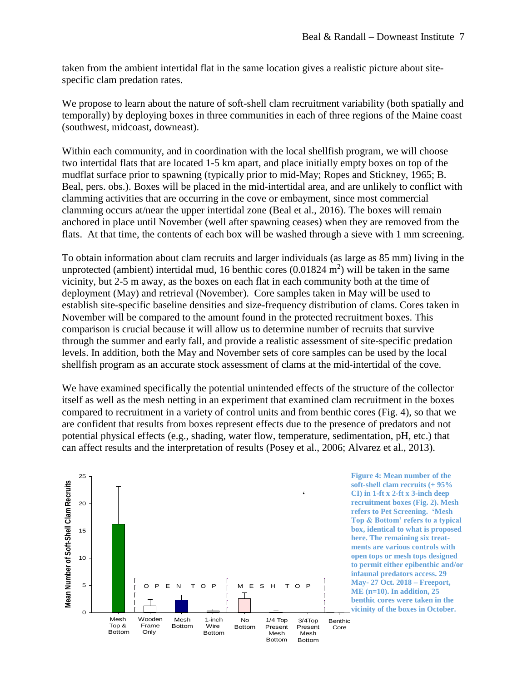taken from the ambient intertidal flat in the same location gives a realistic picture about sitespecific clam predation rates.

We propose to learn about the nature of soft-shell clam recruitment variability (both spatially and temporally) by deploying boxes in three communities in each of three regions of the Maine coast (southwest, midcoast, downeast).

Within each community, and in coordination with the local shellfish program, we will choose two intertidal flats that are located 1-5 km apart, and place initially empty boxes on top of the mudflat surface prior to spawning (typically prior to mid-May; Ropes and Stickney, 1965; B. Beal, pers. obs.). Boxes will be placed in the mid-intertidal area, and are unlikely to conflict with clamming activities that are occurring in the cove or embayment, since most commercial clamming occurs at/near the upper intertidal zone (Beal et al., 2016). The boxes will remain anchored in place until November (well after spawning ceases) when they are removed from the flats. At that time, the contents of each box will be washed through a sieve with 1 mm screening.

To obtain information about clam recruits and larger individuals (as large as 85 mm) living in the unprotected (ambient) intertidal mud, 16 benthic cores  $(0.01824 \text{ m}^2)$  will be taken in the same vicinity, but 2-5 m away, as the boxes on each flat in each community both at the time of deployment (May) and retrieval (November). Core samples taken in May will be used to establish site-specific baseline densities and size-frequency distribution of clams. Cores taken in November will be compared to the amount found in the protected recruitment boxes. This comparison is crucial because it will allow us to determine number of recruits that survive through the summer and early fall, and provide a realistic assessment of site-specific predation levels. In addition, both the May and November sets of core samples can be used by the local shellfish program as an accurate stock assessment of clams at the mid-intertidal of the cove.

We have examined specifically the potential unintended effects of the structure of the collector itself as well as the mesh netting in an experiment that examined clam recruitment in the boxes compared to recruitment in a variety of control units and from benthic cores (Fig. 4), so that we are confident that results from boxes represent effects due to the presence of predators and not potential physical effects (e.g., shading, water flow, temperature, sedimentation, pH, etc.) that can affect results and the interpretation of results (Posey et al., 2006; Alvarez et al., 2013).



**Figure 4: Mean number of the soft-shell clam recruits (+ 95% CI) in 1-ft x 2-ft x 3-inch deep recruitment boxes (Fig. 2). Mesh refers to Pet Screening. 'Mesh Top & Bottom' refers to a typical box, identical to what is proposed here. The remaining six treatments are various controls with open tops or mesh tops designed to permit either epibenthic and/or infaunal predators access. 29 May- 27 Oct. 2018 – Freeport, ME (n=10). In addition, 25 benthic cores were taken in the vicinity of the boxes in October.**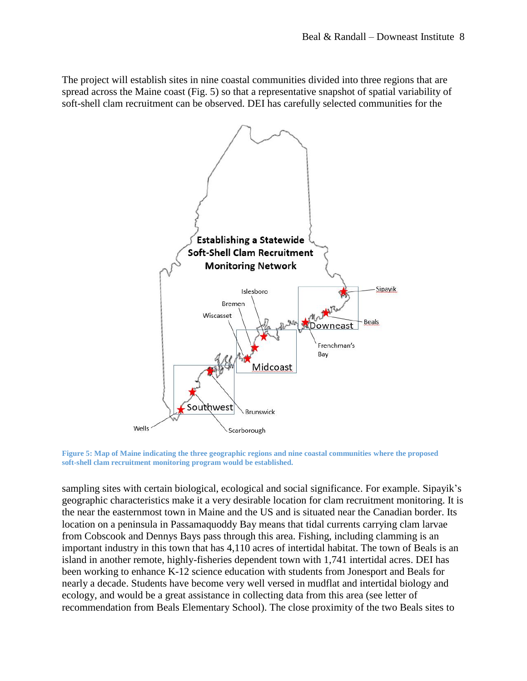The project will establish sites in nine coastal communities divided into three regions that are spread across the Maine coast (Fig. 5) so that a representative snapshot of spatial variability of soft-shell clam recruitment can be observed. DEI has carefully selected communities for the



**Figure 5: Map of Maine indicating the three geographic regions and nine coastal communities where the proposed soft-shell clam recruitment monitoring program would be established.**

sampling sites with certain biological, ecological and social significance. For example. Sipayik's geographic characteristics make it a very desirable location for clam recruitment monitoring. It is the near the easternmost town in Maine and the US and is situated near the Canadian border. Its location on a peninsula in Passamaquoddy Bay means that tidal currents carrying clam larvae from Cobscook and Dennys Bays pass through this area. Fishing, including clamming is an important industry in this town that has 4,110 acres of intertidal habitat. The town of Beals is an island in another remote, highly-fisheries dependent town with 1,741 intertidal acres. DEI has been working to enhance K-12 science education with students from Jonesport and Beals for nearly a decade. Students have become very well versed in mudflat and intertidal biology and ecology, and would be a great assistance in collecting data from this area (see letter of recommendation from Beals Elementary School). The close proximity of the two Beals sites to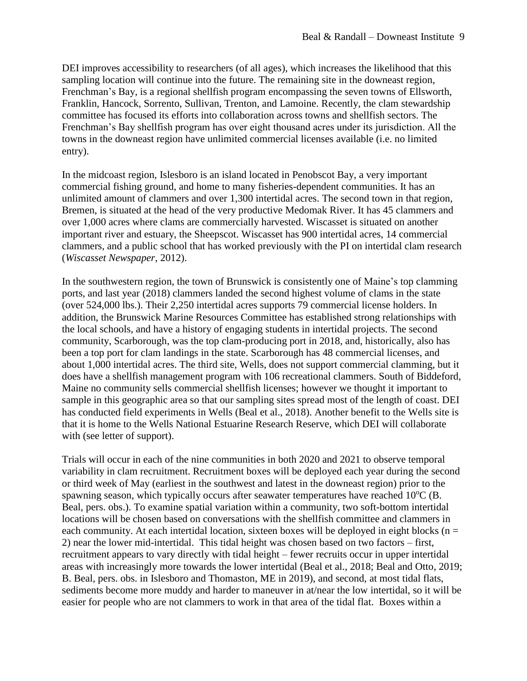DEI improves accessibility to researchers (of all ages), which increases the likelihood that this sampling location will continue into the future. The remaining site in the downeast region, Frenchman's Bay, is a regional shellfish program encompassing the seven towns of Ellsworth, Franklin, Hancock, Sorrento, Sullivan, Trenton, and Lamoine. Recently, the clam stewardship committee has focused its efforts into collaboration across towns and shellfish sectors. The Frenchman's Bay shellfish program has over eight thousand acres under its jurisdiction. All the towns in the downeast region have unlimited commercial licenses available (i.e. no limited entry).

In the midcoast region, Islesboro is an island located in Penobscot Bay, a very important commercial fishing ground, and home to many fisheries-dependent communities. It has an unlimited amount of clammers and over 1,300 intertidal acres. The second town in that region, Bremen, is situated at the head of the very productive Medomak River. It has 45 clammers and over 1,000 acres where clams are commercially harvested. Wiscasset is situated on another important river and estuary, the Sheepscot. Wiscasset has 900 intertidal acres, 14 commercial clammers, and a public school that has worked previously with the PI on intertidal clam research (*Wiscasset Newspaper*, 2012).

In the southwestern region, the town of Brunswick is consistently one of Maine's top clamming ports, and last year (2018) clammers landed the second highest volume of clams in the state (over 524,000 lbs.). Their 2,250 intertidal acres supports 79 commercial license holders. In addition, the Brunswick Marine Resources Committee has established strong relationships with the local schools, and have a history of engaging students in intertidal projects. The second community, Scarborough, was the top clam-producing port in 2018, and, historically, also has been a top port for clam landings in the state. Scarborough has 48 commercial licenses, and about 1,000 intertidal acres. The third site, Wells, does not support commercial clamming, but it does have a shellfish management program with 106 recreational clammers. South of Biddeford, Maine no community sells commercial shellfish licenses; however we thought it important to sample in this geographic area so that our sampling sites spread most of the length of coast. DEI has conducted field experiments in Wells (Beal et al., 2018). Another benefit to the Wells site is that it is home to the Wells National Estuarine Research Reserve, which DEI will collaborate with (see letter of support).

Trials will occur in each of the nine communities in both 2020 and 2021 to observe temporal variability in clam recruitment. Recruitment boxes will be deployed each year during the second or third week of May (earliest in the southwest and latest in the downeast region) prior to the spawning season, which typically occurs after seawater temperatures have reached  $10^{\circ}$ C (B. Beal, pers. obs.). To examine spatial variation within a community, two soft-bottom intertidal locations will be chosen based on conversations with the shellfish committee and clammers in each community. At each intertidal location, sixteen boxes will be deployed in eight blocks ( $n =$ 2) near the lower mid-intertidal. This tidal height was chosen based on two factors – first, recruitment appears to vary directly with tidal height – fewer recruits occur in upper intertidal areas with increasingly more towards the lower intertidal (Beal et al., 2018; Beal and Otto, 2019; B. Beal, pers. obs. in Islesboro and Thomaston, ME in 2019), and second, at most tidal flats, sediments become more muddy and harder to maneuver in at/near the low intertidal, so it will be easier for people who are not clammers to work in that area of the tidal flat. Boxes within a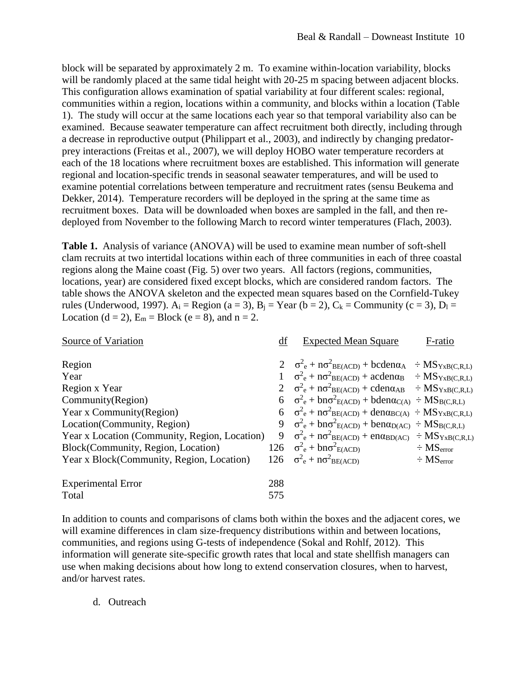block will be separated by approximately 2 m. To examine within-location variability, blocks will be randomly placed at the same tidal height with 20-25 m spacing between adjacent blocks. This configuration allows examination of spatial variability at four different scales: regional, communities within a region, locations within a community, and blocks within a location (Table 1). The study will occur at the same locations each year so that temporal variability also can be examined. Because seawater temperature can affect recruitment both directly, including through a decrease in reproductive output (Philippart et al., 2003), and indirectly by changing predatorprey interactions (Freitas et al., 2007), we will deploy HOBO water temperature recorders at each of the 18 locations where recruitment boxes are established. This information will generate regional and location-specific trends in seasonal seawater temperatures, and will be used to examine potential correlations between temperature and recruitment rates (sensu Beukema and Dekker, 2014). Temperature recorders will be deployed in the spring at the same time as recruitment boxes. Data will be downloaded when boxes are sampled in the fall, and then redeployed from November to the following March to record winter temperatures (Flach, 2003).

**Table 1.** Analysis of variance (ANOVA) will be used to examine mean number of soft-shell clam recruits at two intertidal locations within each of three communities in each of three coastal regions along the Maine coast (Fig. 5) over two years. All factors (regions, communities, locations, year) are considered fixed except blocks, which are considered random factors. The table shows the ANOVA skeleton and the expected mean squares based on the Cornfield-Tukey rules (Underwood, 1997).  $A_i$  = Region (a = 3),  $B_i$  = Year (b = 2),  $C_k$  = Community (c = 3),  $D_l$  = Location (d = 2),  $E_m = Block$  (e = 8), and n = 2.

| Source of Variation                           | df  | <b>Expected Mean Square</b>                                                                                            | F-ratio                    |
|-----------------------------------------------|-----|------------------------------------------------------------------------------------------------------------------------|----------------------------|
| Region                                        |     | $2 \quad \sigma_e^2 + n \sigma_{BE(ACD)}^2 + bcden\alpha_A \div MS_{YxB(C,R,L)}$                                       |                            |
| Year                                          |     | $1 \quad \sigma^2_e + n\sigma^2_{BE(ACD)} + \text{acden}\alpha_B \div MS_{YxB(C,R,L)}$                                 |                            |
| Region x Year                                 |     | $2 \quad \sigma_e^2 + n \sigma_{BE(ACD)}^2 + \text{cden} \alpha_{AB} \div \text{MS}_{YxB(C,R,L)}$                      |                            |
| Community(Region)                             |     | $6\quad \sigma_e^2 + b n \sigma_{E(ACD)}^2 + b d e n \alpha_{C(A)} \div MS_{B(C,R,L)}$                                 |                            |
| Year x Community(Region)                      |     | 6 $\sigma^2$ <sub>e</sub> + n $\sigma^2$ <sub>BE(ACD)</sub> + den $\alpha$ <sub>BC(A)</sub> ÷ MS <sub>YxB(C,R,L)</sub> |                            |
| Location(Community, Region)                   |     | 9 $\sigma_e^2$ + bn $\sigma_{E(ACD)}^2$ + bend <sub>D(AC)</sub> ÷ MS <sub>B(C,R,L)</sub>                               |                            |
| Year x Location (Community, Region, Location) |     | 9 $\sigma^2$ <sub>e</sub> + n $\sigma^2$ <sub>BE(ACD)</sub> + en $\alpha$ <sub>BD(AC)</sub> ÷ MS <sub>YxB(C,R,L)</sub> |                            |
| Block(Community, Region, Location)            |     | 126 $\sigma^2$ <sub>e</sub> + bn $\sigma^2$ <sub>E(ACD)</sub>                                                          | $\div$ MS <sub>error</sub> |
| Year x Block(Community, Region, Location)     |     | 126 $\sigma^2$ <sub>e</sub> + n $\sigma^2$ <sub>BE(ACD)</sub>                                                          | $\div$ MS <sub>error</sub> |
| <b>Experimental Error</b>                     | 288 |                                                                                                                        |                            |
| Total                                         | 575 |                                                                                                                        |                            |

In addition to counts and comparisons of clams both within the boxes and the adjacent cores, we will examine differences in clam size-frequency distributions within and between locations, communities, and regions using G-tests of independence (Sokal and Rohlf, 2012). This information will generate site-specific growth rates that local and state shellfish managers can use when making decisions about how long to extend conservation closures, when to harvest, and/or harvest rates.

d. Outreach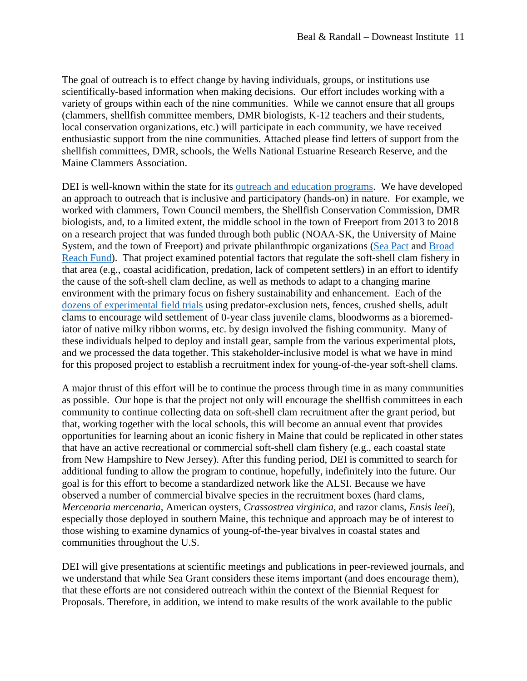The goal of outreach is to effect change by having individuals, groups, or institutions use scientifically-based information when making decisions. Our effort includes working with a variety of groups within each of the nine communities. While we cannot ensure that all groups (clammers, shellfish committee members, DMR biologists, K-12 teachers and their students, local conservation organizations, etc.) will participate in each community, we have received enthusiastic support from the nine communities. Attached please find letters of support from the shellfish committees, DMR, schools, the Wells National Estuarine Research Reserve, and the Maine Clammers Association.

DEI is well-known within the state for its [outreach and education programs.](https://downeastinstitute.org/education/) We have developed an approach to outreach that is inclusive and participatory (hands-on) in nature. For example, we worked with clammers, Town Council members, the Shellfish Conservation Commission, DMR biologists, and, to a limited extent, the middle school in the town of Freeport from 2013 to 2018 on a research project that was funded through both public (NOAA-SK, the University of Maine System, and the town of Freeport) and private philanthropic organizations [\(Sea Pact](https://www.seapact.org/) and [Broad](https://www.mainephilanthropy.org/sites/default/files/Broad%20Reach%20Fund%20Information%20Sheet.pdf)  [Reach Fund\)](https://www.mainephilanthropy.org/sites/default/files/Broad%20Reach%20Fund%20Information%20Sheet.pdf). That project examined potential factors that regulate the soft-shell clam fishery in that area (e.g., coastal acidification, predation, lack of competent settlers) in an effort to identify the cause of the soft-shell clam decline, as well as methods to adapt to a changing marine environment with the primary focus on fishery sustainability and enhancement. Each of the [dozens of experimental field trials](https://downeastinstitute.org/research/soft-shell-clams/freeport-investigating-the-cause-of-the-clam-decline-2013-2017/) using predator-exclusion nets, fences, crushed shells, adult clams to encourage wild settlement of 0-year class juvenile clams, bloodworms as a bioremediator of native milky ribbon worms, etc. by design involved the fishing community. Many of these individuals helped to deploy and install gear, sample from the various experimental plots, and we processed the data together. This stakeholder-inclusive model is what we have in mind for this proposed project to establish a recruitment index for young-of-the-year soft-shell clams.

A major thrust of this effort will be to continue the process through time in as many communities as possible. Our hope is that the project not only will encourage the shellfish committees in each community to continue collecting data on soft-shell clam recruitment after the grant period, but that, working together with the local schools, this will become an annual event that provides opportunities for learning about an iconic fishery in Maine that could be replicated in other states that have an active recreational or commercial soft-shell clam fishery (e.g., each coastal state from New Hampshire to New Jersey). After this funding period, DEI is committed to search for additional funding to allow the program to continue, hopefully, indefinitely into the future. Our goal is for this effort to become a standardized network like the ALSI. Because we have observed a number of commercial bivalve species in the recruitment boxes (hard clams, *Mercenaria mercenaria*, American oysters, *Crassostrea virginica*, and razor clams, *Ensis leei*), especially those deployed in southern Maine, this technique and approach may be of interest to those wishing to examine dynamics of young-of-the-year bivalves in coastal states and communities throughout the U.S.

DEI will give presentations at scientific meetings and publications in peer-reviewed journals, and we understand that while Sea Grant considers these items important (and does encourage them), that these efforts are not considered outreach within the context of the Biennial Request for Proposals. Therefore, in addition, we intend to make results of the work available to the public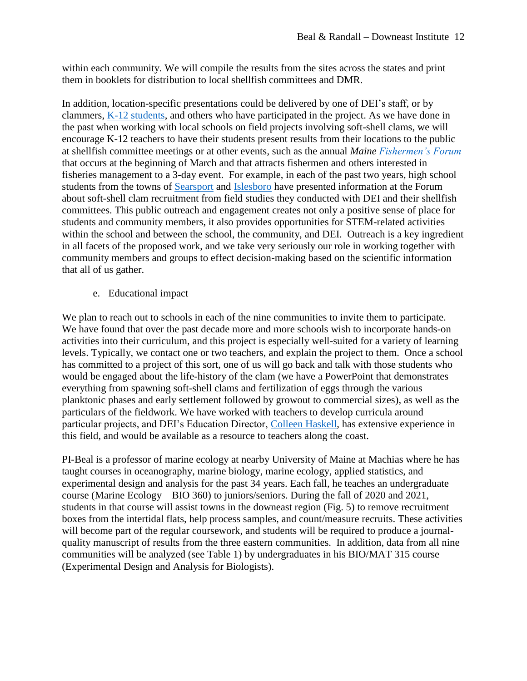within each community. We will compile the results from the sites across the states and print them in booklets for distribution to local shellfish committees and DMR.

In addition, location-specific presentations could be delivered by one of DEI's staff, or by clammers, [K-12 students,](https://downeastinstitute.org/wp-content/uploads/2018/08/dei-nsf-pfi-method-section.pdf) and others who have participated in the project. As we have done in the past when working with local schools on field projects involving soft-shell clams, we will encourage K-12 teachers to have their students present results from their locations to the public at shellfish committee meetings or at other events, such as the annual *Maine [Fishermen's Forum](http://mainefishermensforum.org/)* that occurs at the beginning of March and that attracts fishermen and others interested in fisheries management to a 3-day event. For example, in each of the past two years, high school students from the towns of [Searsport](https://youtu.be/kRNSMGfRp4o) and [Islesboro](http://sdmhs.rsu20.org/home/school-news/searsportdistricthighschoolpartnerswithumaineforsoftshellclampopulationstudy) have presented information at the Forum about soft-shell clam recruitment from field studies they conducted with DEI and their shellfish committees. This public outreach and engagement creates not only a positive sense of place for students and community members, it also provides opportunities for STEM-related activities within the school and between the school, the community, and DEI. Outreach is a key ingredient in all facets of the proposed work, and we take very seriously our role in working together with community members and groups to effect decision-making based on the scientific information that all of us gather.

e. Educational impact

We plan to reach out to schools in each of the nine communities to invite them to participate. We have found that over the past decade more and more schools wish to incorporate hands-on activities into their curriculum, and this project is especially well-suited for a variety of learning levels. Typically, we contact one or two teachers, and explain the project to them. Once a school has committed to a project of this sort, one of us will go back and talk with those students who would be engaged about the life-history of the clam (we have a PowerPoint that demonstrates everything from spawning soft-shell clams and fertilization of eggs through the various planktonic phases and early settlement followed by growout to commercial sizes), as well as the particulars of the fieldwork. We have worked with teachers to develop curricula around particular projects, and DEI's Education Director, [Colleen Haskell,](https://downeastinstitute.org/team/colleen-haskell/) has extensive experience in this field, and would be available as a resource to teachers along the coast.

PI-Beal is a professor of marine ecology at nearby University of Maine at Machias where he has taught courses in oceanography, marine biology, marine ecology, applied statistics, and experimental design and analysis for the past 34 years. Each fall, he teaches an undergraduate course (Marine Ecology – BIO 360) to juniors/seniors. During the fall of 2020 and 2021, students in that course will assist towns in the downeast region (Fig. 5) to remove recruitment boxes from the intertidal flats, help process samples, and count/measure recruits. These activities will become part of the regular coursework, and students will be required to produce a journalquality manuscript of results from the three eastern communities. In addition, data from all nine communities will be analyzed (see Table 1) by undergraduates in his BIO/MAT 315 course (Experimental Design and Analysis for Biologists).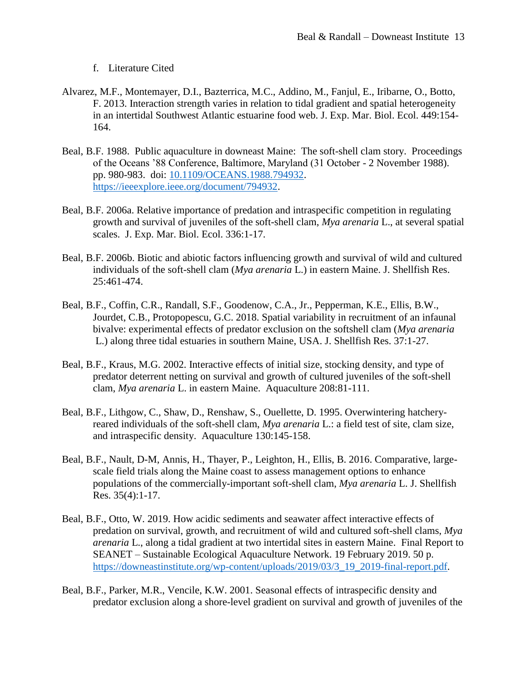## f. Literature Cited

- Alvarez, M.F., Montemayer, D.I., Bazterrica, M.C., Addino, M., Fanjul, E., Iribarne, O., Botto, F. 2013. Interaction strength varies in relation to tidal gradient and spatial heterogeneity in an intertidal Southwest Atlantic estuarine food web. J. Exp. Mar. Biol. Ecol. 449:154- 164.
- Beal, B.F. 1988. Public aquaculture in downeast Maine: The soft-shell clam story. Proceedings of the Oceans '88 Conference, Baltimore, Maryland (31 October - 2 November 1988). pp. 980-983. doi: [10.1109/OCEANS.1988.794932.](https://doi.org/10.1109/OCEANS.1988.794932) [https://ieeexplore.ieee.org/document/794932.](https://ieeexplore.ieee.org/document/794932)
- Beal, B.F. 2006a. Relative importance of predation and intraspecific competition in regulating growth and survival of juveniles of the soft-shell clam, *Mya arenaria* L., at several spatial scales. J. Exp. Mar. Biol. Ecol. 336:1-17.
- Beal, B.F. 2006b. Biotic and abiotic factors influencing growth and survival of wild and cultured individuals of the soft-shell clam (*Mya arenaria* L.) in eastern Maine. J. Shellfish Res. 25:461-474.
- Beal, B.F., Coffin, C.R., Randall, S.F., Goodenow, C.A., Jr., Pepperman, K.E., Ellis, B.W., Jourdet, C.B., Protopopescu, G.C. 2018. Spatial variability in recruitment of an infaunal bivalve: experimental effects of predator exclusion on the softshell clam (*Mya arenaria* L.) along three tidal estuaries in southern Maine, USA. J. Shellfish Res. 37:1-27.
- Beal, B.F., Kraus, M.G. 2002. Interactive effects of initial size, stocking density, and type of predator deterrent netting on survival and growth of cultured juveniles of the soft-shell clam, *Mya arenaria* L. in eastern Maine. Aquaculture 208:81-111.
- Beal, B.F., Lithgow, C., Shaw, D., Renshaw, S., Ouellette, D. 1995. Overwintering hatcheryreared individuals of the soft-shell clam, *Mya arenaria* L.: a field test of site, clam size, and intraspecific density. Aquaculture 130:145-158.
- Beal, B.F., Nault, D-M, Annis, H., Thayer, P., Leighton, H., Ellis, B. 2016. Comparative, largescale field trials along the Maine coast to assess management options to enhance populations of the commercially-important soft-shell clam, *Mya arenaria* L. J. Shellfish Res. 35(4):1-17.
- Beal, B.F., Otto, W. 2019. How acidic sediments and seawater affect interactive effects of predation on survival, growth, and recruitment of wild and cultured soft-shell clams, *Mya arenaria* L., along a tidal gradient at two intertidal sites in eastern Maine. Final Report to SEANET – Sustainable Ecological Aquaculture Network. 19 February 2019. 50 p. [https://downeastinstitute.org/wp-content/uploads/2019/03/3\\_19\\_2019-final-report.pdf.](https://downeastinstitute.org/wp-content/uploads/2019/03/3_19_2019-final-report.pdf)
- Beal, B.F., Parker, M.R., Vencile, K.W. 2001. Seasonal effects of intraspecific density and predator exclusion along a shore-level gradient on survival and growth of juveniles of the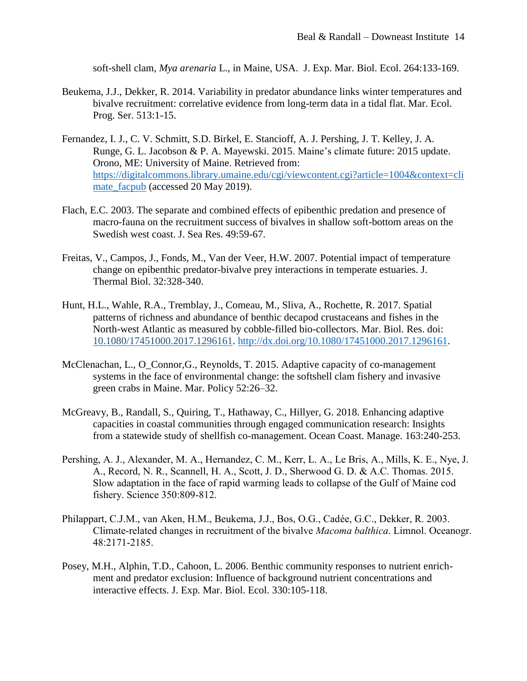soft-shell clam, *Mya arenaria* L., in Maine, USA. J. Exp. Mar. Biol. Ecol. 264:133-169.

- Beukema, J.J., Dekker, R. 2014. Variability in predator abundance links winter temperatures and bivalve recruitment: correlative evidence from long-term data in a tidal flat. Mar. Ecol. Prog. Ser. 513:1-15.
- Fernandez, I. J., C. V. Schmitt, S.D. Birkel, E. Stancioff, A. J. Pershing, J. T. Kelley, J. A. Runge, G. L. Jacobson & P. A. Mayewski. 2015. Maine's climate future: 2015 update. Orono, ME: University of Maine. Retrieved from: [https://digitalcommons.library.umaine.edu/cgi/viewcontent.cgi?article=1004&context=cli](https://digitalcommons.library.umaine.edu/cgi/viewcontent.cgi?article=1004&context=climate_facpub) [mate\\_facpub](https://digitalcommons.library.umaine.edu/cgi/viewcontent.cgi?article=1004&context=climate_facpub) (accessed 20 May 2019).
- Flach, E.C. 2003. The separate and combined effects of epibenthic predation and presence of macro-fauna on the recruitment success of bivalves in shallow soft-bottom areas on the Swedish west coast. J. Sea Res. 49:59-67.
- Freitas, V., Campos, J., Fonds, M., Van der Veer, H.W. 2007. Potential impact of temperature change on epibenthic predator-bivalve prey interactions in temperate estuaries. J. Thermal Biol. 32:328-340.
- Hunt, H.L., Wahle, R.A., Tremblay, J., Comeau, M., Sliva, A., Rochette, R. 2017. Spatial patterns of richness and abundance of benthic decapod crustaceans and fishes in the North-west Atlantic as measured by cobble-filled bio-collectors. Mar. Biol. Res. doi: 10.1080/17451000.2017.1296161. [http://dx.doi.org/10.1080/17451000.2017.1296161.](http://dx.doi.org/10.1080/17451000.2017.1296161)
- McClenachan, L., O. Connor,G., Reynolds, T. 2015. Adaptive capacity of co-management systems in the face of environmental change: the softshell clam fishery and invasive green crabs in Maine. Mar. Policy 52:26–32.
- McGreavy, B., Randall, S., Quiring, T., Hathaway, C., Hillyer, G. 2018. Enhancing adaptive capacities in coastal communities through engaged communication research: Insights from a statewide study of shellfish co-management. Ocean Coast. Manage. 163:240-253.
- Pershing, A. J., Alexander, M. A., Hernandez, C. M., Kerr, L. A., Le Bris, A., Mills, K. E., Nye, J. A., Record, N. R., Scannell, H. A., Scott, J. D., Sherwood G. D. & A.C. Thomas. 2015. Slow adaptation in the face of rapid warming leads to collapse of the Gulf of Maine cod fishery. Science 350:809-812.
- Philappart, C.J.M., van Aken, H.M., Beukema, J.J., Bos, O.G., Cadée, G.C., Dekker, R. 2003. Climate-related changes in recruitment of the bivalve *Macoma balthica*. Limnol. Oceanogr. 48:2171-2185.
- Posey, M.H., Alphin, T.D., Cahoon, L. 2006. Benthic community responses to nutrient enrichment and predator exclusion: Influence of background nutrient concentrations and interactive effects. J. Exp. Mar. Biol. Ecol. 330:105-118.